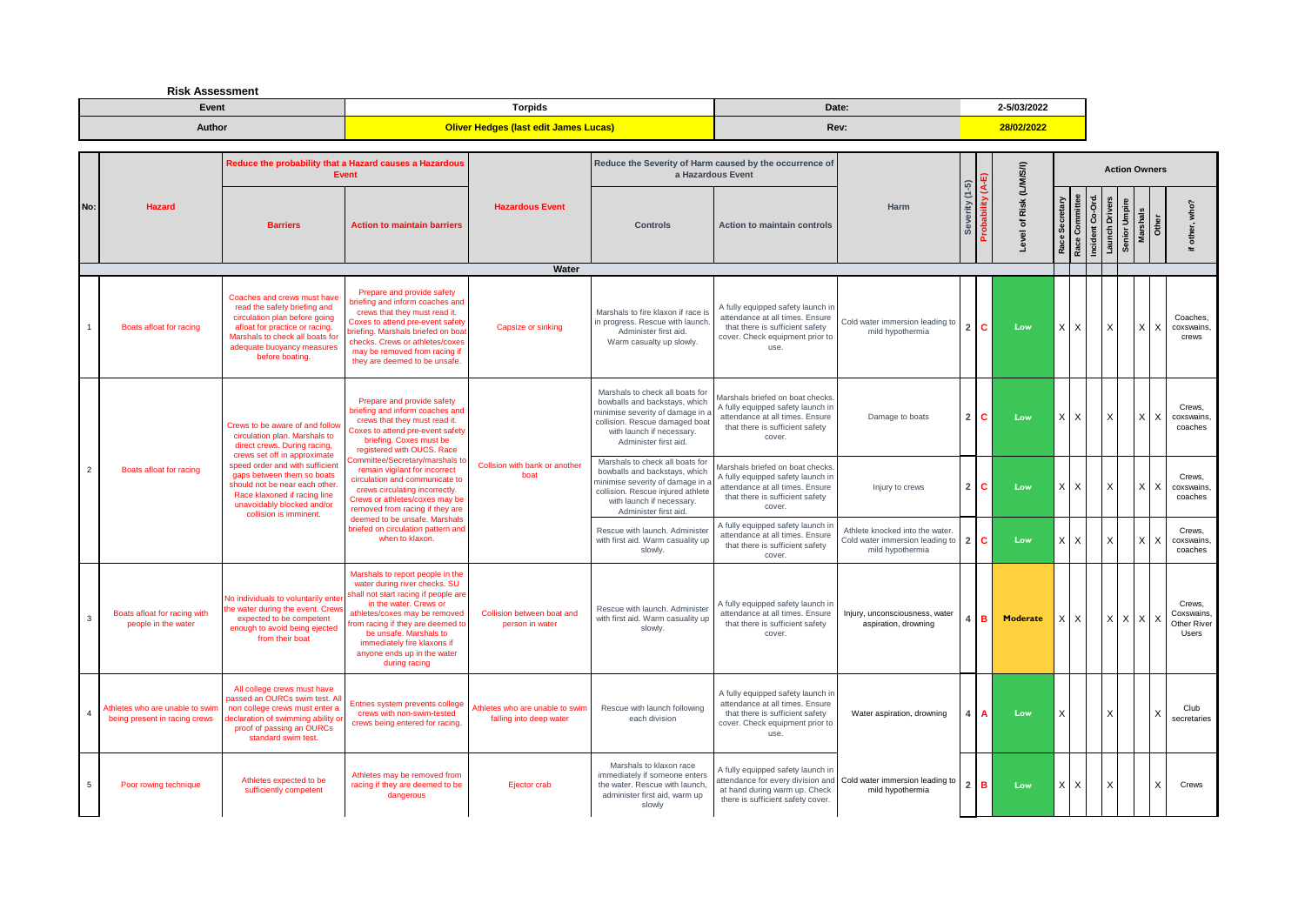**Risk Assessment**

| Event  | Torpids                                      | Date: | 2-5/03/2022 |
|--------|----------------------------------------------|-------|-------------|
| Author | <b>Oliver Hedges (last edit James Lucas)</b> | Rev:  | 28/02/2022  |

|                |                                                                  |                                                                                                                                                                                                                         | Reduce the probability that a Hazard causes a Hazardous<br><b>Event</b>                                                                                                                                                                                                                                            |                                                            |                                                                                                                                                                                               | Reduce the Severity of Harm caused by the occurrence of<br>a Hazardous Event                                                                          |                                                                                       |                |          |                              |            |                                  |                |               | <b>Action Owners</b>       |                                              |
|----------------|------------------------------------------------------------------|-------------------------------------------------------------------------------------------------------------------------------------------------------------------------------------------------------------------------|--------------------------------------------------------------------------------------------------------------------------------------------------------------------------------------------------------------------------------------------------------------------------------------------------------------------|------------------------------------------------------------|-----------------------------------------------------------------------------------------------------------------------------------------------------------------------------------------------|-------------------------------------------------------------------------------------------------------------------------------------------------------|---------------------------------------------------------------------------------------|----------------|----------|------------------------------|------------|----------------------------------|----------------|---------------|----------------------------|----------------------------------------------|
| No:            | <b>Hazard</b>                                                    | <b>Barriers</b>                                                                                                                                                                                                         | <b>Action to maintain barriers</b>                                                                                                                                                                                                                                                                                 | <b>Hazardous Event</b>                                     | <b>Controls</b>                                                                                                                                                                               | <b>Action to maintain controls</b>                                                                                                                    | <b>Harm</b>                                                                           | Severity (1-5) |          | Risk (L/M/S/I)<br>৳<br>Level | ဖိ<br>Race | Incident Co-Ord<br>Race Committe | Launch Drivers | Senior Umpire | Marshals<br>Other          | who?<br>other.<br>$=$                        |
|                |                                                                  |                                                                                                                                                                                                                         |                                                                                                                                                                                                                                                                                                                    | Water                                                      |                                                                                                                                                                                               |                                                                                                                                                       |                                                                                       |                |          |                              |            |                                  |                |               |                            |                                              |
|                | Boats afloat for racing                                          | Coaches and crews must have<br>read the safety briefing and<br>circulation plan before going<br>afloat for practice or racing.<br>Marshals to check all boats for<br>adequate buoyancy measures<br>before boating.      | Prepare and provide safety<br>riefing and inform coaches and<br>crews that they must read it.<br>Coxes to attend pre-event safety<br>priefing. Marshals briefed on boa<br>checks. Crews or athletes/coxes<br>may be removed from racing if<br>they are deemed to be unsafe.                                        | Capsize or sinking                                         | Marshals to fire klaxon if race is<br>in progress. Rescue with launch<br>Administer first aid.<br>Warm casualty up slowly.                                                                    | A fully equipped safety launch in<br>attendance at all times. Ensure<br>that there is sufficient safety<br>cover. Check equipment prior to<br>use.    | Cold water immersion leading to<br>mild hypothermia                                   |                | 2 C      | Low                          | $\times$   | $\times$                         | X              |               | $x \mid x$                 | Coaches.<br>coxswains<br>crews               |
|                |                                                                  | Crews to be aware of and follow<br>circulation plan. Marshals to<br>direct crews. During racing,                                                                                                                        | Prepare and provide safety<br>priefing and inform coaches and<br>crews that they must read it.<br>Coxes to attend pre-event safety<br>briefing. Coxes must be<br>registered with OUCS. Race                                                                                                                        |                                                            | Marshals to check all boats for<br>bowballs and backstays, which<br>minimise severity of damage in a<br>collision. Rescue damaged boat<br>with launch if necessary.<br>Administer first aid.  | Marshals briefed on boat checks.<br>A fully equipped safety launch in<br>attendance at all times. Ensure<br>that there is sufficient safety<br>cover. | Damage to boats                                                                       | $\overline{2}$ | <b>C</b> | Low                          | $\times$   | $\times$                         | X              |               | $\overline{X}$<br>$\times$ | Crews.<br>coxswains<br>coaches               |
| $\overline{2}$ | Boats afloat for racing                                          | crews set off in approximate<br>speed order and with sufficient<br>gaps between them so boats<br>should not be near each other.<br>Race klaxoned if racing line<br>unavoidably blocked and/or<br>collision is imminent. | ommittee/Secretary/marshals to<br>remain vigilant for incorrect<br>circulation and communicate to<br>crews circulating incorrectly.<br>Crews or athletes/coxes may be<br>removed from racing if they are<br>deemed to be unsafe. Marshals                                                                          | Collsion with bank or another<br>boat                      | Marshals to check all boats for<br>bowballs and backstays, which<br>minimise severity of damage in<br>collision. Rescue injured athlete<br>with launch if necessary.<br>Administer first aid. | Marshals briefed on boat checks<br>A fully equipped safety launch in<br>attendance at all times. Ensure<br>that there is sufficient safety<br>cover.  | Injury to crews                                                                       | $\overline{2}$ | I C      | Low                          | $\times$   | $\times$                         | X              |               | $\times$<br>$\times$       | Crews.<br>coxswains<br>coaches               |
|                |                                                                  |                                                                                                                                                                                                                         | briefed on circulation pattern and<br>when to klaxon.                                                                                                                                                                                                                                                              |                                                            | Rescue with launch. Administer<br>with first aid. Warm casuality up<br>slowly.                                                                                                                | A fully equipped safety launch ir<br>attendance at all times. Ensure<br>that there is sufficient safety<br>cover.                                     | Athlete knocked into the water<br>Cold water immersion leading to<br>mild hypothermia | 2 C            |          | Low                          | $X$ $X$    |                                  | X              |               | $\times$<br>$\times$       | Crews,<br>coxswains.<br>coaches              |
| 3              | Boats afloat for racing with<br>people in the water              | No individuals to voluntarily enter<br>the water during the event. Crews<br>expected to be competent<br>enough to avoid being ejected<br>from their boat                                                                | Marshals to report people in the<br>water during river checks. SU<br>shall not start racing if people are<br>in the water. Crews or<br>athletes/coxes may be removed<br>from racing if they are deemed to<br>be unsafe. Marshals to<br>immediately fire klaxons if<br>anyone ends up in the water<br>during racing | Collision between boat and<br>person in water              | Rescue with launch. Administer<br>with first aid. Warm casuality up<br>slowly.                                                                                                                | A fully equipped safety launch in<br>attendance at all times. Ensure<br>that there is sufficient safety<br>cover.                                     | Injury, unconsciousness, water<br>aspiration, drowning                                |                | IR.      | <b>Moderate</b>              | $\times$   | $\times$                         |                |               | $X$ $X$ $X$ $X$            | Crews.<br>Coxswains.<br>Other River<br>Users |
| $\overline{4}$ | Athletes who are unable to swim<br>being present in racing crews | All college crews must have<br>bassed an OURCs swim test. Al<br>non college crews must enter a<br>declaration of swimming ability or<br>proof of passing an OURCs<br>standard swim test.                                | Entries system prevents college<br>crews with non-swim-tested<br>crews being entered for racing.                                                                                                                                                                                                                   | Athletes who are unable to swin<br>falling into deep water | Rescue with launch following<br>each division                                                                                                                                                 | A fully equipped safety launch in<br>attendance at all times. Ensure<br>that there is sufficient safety<br>cover. Check equipment prior to<br>use.    | Water aspiration, drowning                                                            |                |          | Low                          | X          |                                  | x              |               | $\times$                   | Club<br>secretaries                          |
| 5              | Poor rowing technique                                            | Athletes expected to be<br>sufficiently competent                                                                                                                                                                       | Athletes may be removed from<br>racing if they are deemed to be<br>dangerous                                                                                                                                                                                                                                       | Ejector crab                                               | Marshals to klaxon race<br>immediately if someone enters<br>the water. Rescue with launch,<br>administer first aid, warm up<br>slowly                                                         | A fully equipped safety launch in<br>at hand during warm up. Check<br>there is sufficient safety cover.                                               | attendance for every division and Cold water immersion leading to<br>mild hypothermia | $2$ B          |          | Low                          | $\times$   | X                                | X              |               | $\times$                   | Crews                                        |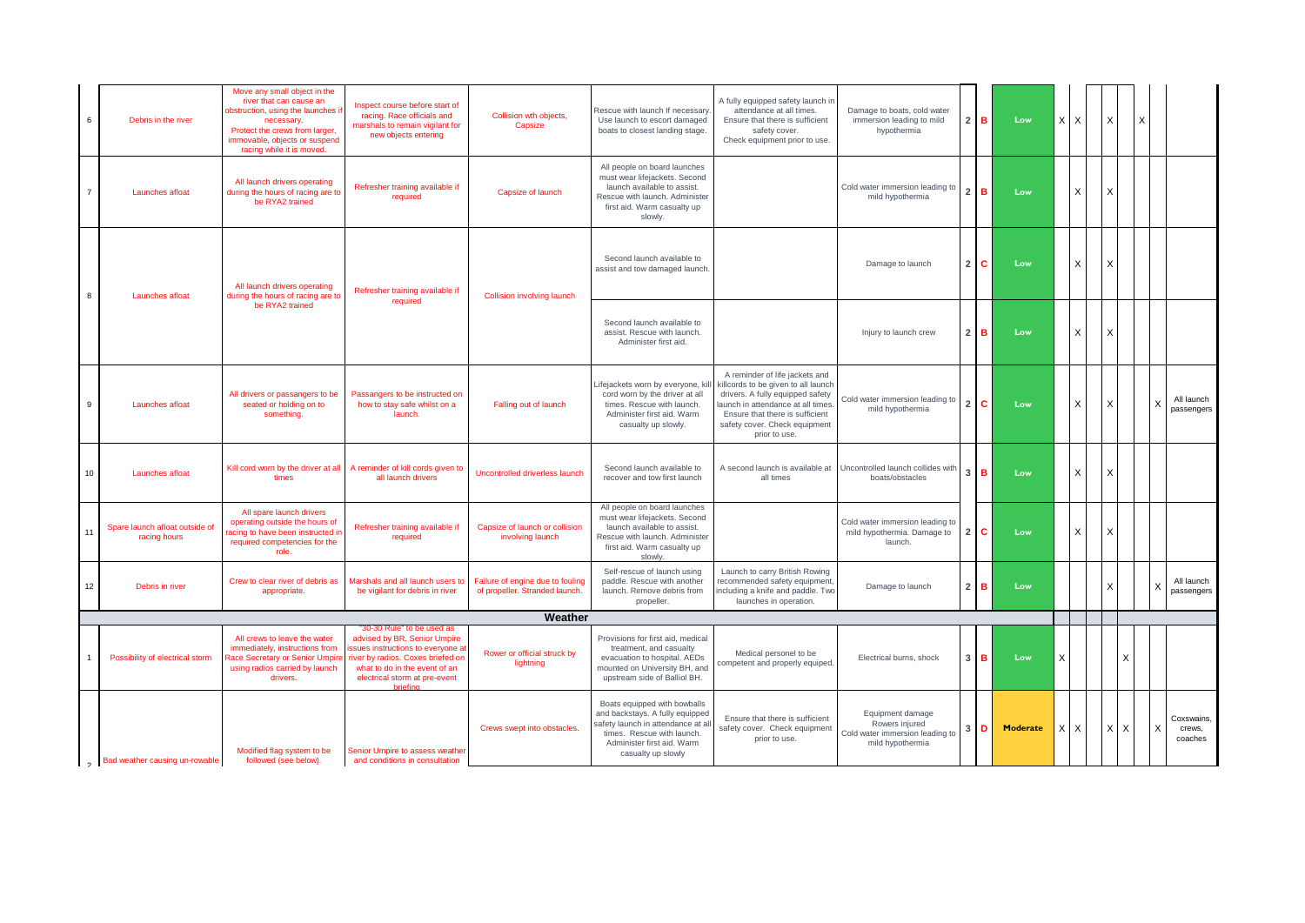| 6              | Debris in the river                            | Move any small object in the<br>river that can cause an<br>obstruction, using the launches if<br>necessary.<br>Protect the crews from larger,<br>immovable, objects or suspend<br>racing while it is moved. | Inspect course before start of<br>racing. Race officials and<br>marshals to remain vigilant for<br>new objects entering                                                                                                    | Collision wth objects,<br>Capsize                                  | Rescue with launch If necessary<br>Use launch to escort damaged<br>boats to closest landing stage.                                                                                    | A fully equipped safety launch in<br>attendance at all times.<br>Ensure that there is sufficient<br>safety cover.<br>Check equipment prior to use.                                                                                 | Damage to boats, cold water<br>immersion leading to mild<br>hypothermia                   | 2 <sup>1</sup> | в  | Low      | X        | X            | $\times$ |     | $\times$ |                                 |
|----------------|------------------------------------------------|-------------------------------------------------------------------------------------------------------------------------------------------------------------------------------------------------------------|----------------------------------------------------------------------------------------------------------------------------------------------------------------------------------------------------------------------------|--------------------------------------------------------------------|---------------------------------------------------------------------------------------------------------------------------------------------------------------------------------------|------------------------------------------------------------------------------------------------------------------------------------------------------------------------------------------------------------------------------------|-------------------------------------------------------------------------------------------|----------------|----|----------|----------|--------------|----------|-----|----------|---------------------------------|
| $\overline{7}$ | Launches afloat                                | All launch drivers operating<br>during the hours of racing are to<br>be RYA2 trained                                                                                                                        | Refresher training available if<br>required                                                                                                                                                                                | Capsize of launch                                                  | All people on board launches<br>must wear lifejackets. Second<br>launch available to assist.<br>Rescue with launch. Administer<br>first aid. Warm casualty up<br>slowly.              |                                                                                                                                                                                                                                    | Cold water immersion leading to<br>mild hypothermia                                       | 2 <sub>1</sub> | в  | Low      |          |              |          |     |          |                                 |
| 8              | Launches afloat                                | All launch drivers operating<br>during the hours of racing are to                                                                                                                                           | Refresher training available if<br>required                                                                                                                                                                                | <b>Collision involving launch</b>                                  | Second launch available to<br>assist and tow damaged launch.                                                                                                                          |                                                                                                                                                                                                                                    | Damage to launch                                                                          | 2 <sup>1</sup> | c. | Low      |          | $\mathsf{x}$ |          |     |          |                                 |
|                |                                                | be RYA2 trained                                                                                                                                                                                             |                                                                                                                                                                                                                            |                                                                    | Second launch available to<br>assist. Rescue with launch.<br>Administer first aid.                                                                                                    |                                                                                                                                                                                                                                    | Injury to launch crew                                                                     | 2 <sub>1</sub> | в  | Low      |          | X            | X        |     |          |                                 |
| 9              | Launches afloat                                | All drivers or passangers to be<br>seated or holding on to<br>something.                                                                                                                                    | Passangers to be instructed on<br>how to stay safe whilst on a<br>launch.                                                                                                                                                  | Falling out of launch                                              | ifejackets worn by everyone, ki.<br>cord worn by the driver at all<br>times. Rescue with launch.<br>Administer first aid. Warm<br>casualty up slowly.                                 | A reminder of life jackets and<br>killcords to be given to all launch<br>drivers. A fully equipped safety<br>aunch in attendance at all times<br>Ensure that there is sufficient<br>safety cover. Check equipment<br>prior to use. | Cold water immersion leading to<br>mild hypothermia                                       | 2 <sub>1</sub> | c. | Low      |          |              |          |     |          | All launch<br>passengers        |
| 10             | Launches afloat                                | Kill cord worn by the driver at all<br>times                                                                                                                                                                | A reminder of kill cords given to<br>all launch drivers                                                                                                                                                                    | Uncontrolled driverless launch                                     | Second launch available to<br>recover and tow first launch                                                                                                                            | A second launch is available at<br>all times                                                                                                                                                                                       | Uncontrolled launch collides with<br>boats/obstacles                                      | 3 <sup>1</sup> | B. | Low      |          |              | x        |     |          |                                 |
| 11             | Spare launch afloat outside of<br>racing hours | All spare launch drivers<br>operating outside the hours of<br>acing to have been instructed in<br>required competencies for the<br>role.                                                                    | Refresher training available if<br>required                                                                                                                                                                                | Capsize of launch or collision<br>involving launch                 | All people on board launches<br>must wear lifejackets. Second<br>launch available to assist.<br>Rescue with launch. Administer<br>first aid. Warm casualty up<br>slowly.              |                                                                                                                                                                                                                                    | Cold water immersion leading to<br>mild hypothermia. Damage to<br>launch.                 | 2 <sub>1</sub> | С  | Low      |          | $\times$     |          |     |          |                                 |
| 12             | Debris in river                                | Crew to clear river of debris as<br>appropriate                                                                                                                                                             | Marshals and all launch users to<br>be vigilant for debris in river                                                                                                                                                        | Failure of engine due to fouling<br>of propeller. Stranded launch. | Self-rescue of launch using<br>paddle. Rescue with another<br>launch. Remove debris from<br>propeller.                                                                                | Launch to carry British Rowing<br>recommended safety equipment,<br>including a knife and paddle. Two<br>launches in operation.                                                                                                     | Damage to launch                                                                          | 2 <sub>1</sub> | в  | Low      |          |              |          |     |          | All launch<br>passengers        |
|                |                                                |                                                                                                                                                                                                             |                                                                                                                                                                                                                            | Weather                                                            |                                                                                                                                                                                       |                                                                                                                                                                                                                                    |                                                                                           |                |    |          |          |              |          |     |          |                                 |
|                | Possibility of electrical storm                | All crews to leave the water<br>immediately, instructions from<br>Race Secretary or Senior Umpire<br>using radios carried by launch<br>drivers.                                                             | "30-30 Rule" to be used as<br>advised by BR. Senior Umpire<br>issues instructions to everyone at<br>river by radios. Coxes briefed on<br>what to do in the event of an<br>electrical storm at pre-event<br><b>hripfing</b> | Rower or official struck by<br>lightning                           | Provisions for first aid, medical<br>treatment, and casualty<br>evacuation to hospital. AEDs<br>mounted on University BH, and<br>upstream side of Balliol BH.                         | Medical personel to be<br>ompetent and properly equiped.                                                                                                                                                                           | Electrical burns, shock                                                                   | 3 <sup>1</sup> | в  | Low      | X        |              |          |     |          |                                 |
|                | Bad weather causing un-rowable                 | Modified flag system to be<br>followed (see below).                                                                                                                                                         | Senior Umpire to assess weather<br>and conditions in consultation                                                                                                                                                          | Crews swept into obstacles.                                        | Boats equipped with bowballs<br>and backstays. A fully equipped<br>safety launch in attendance at a<br>times. Rescue with launch.<br>Administer first aid. Warm<br>casualty up slowly | Ensure that there is sufficient<br>safety cover. Check equipment<br>prior to use.                                                                                                                                                  | Equipment damage<br>Rowers injured<br>Cold water immersion leading to<br>mild hypothermia | 3 <sup>1</sup> | D  | Moderate | $\times$ | X            | $\times$ | l X |          | Coxswains,<br>crews,<br>coaches |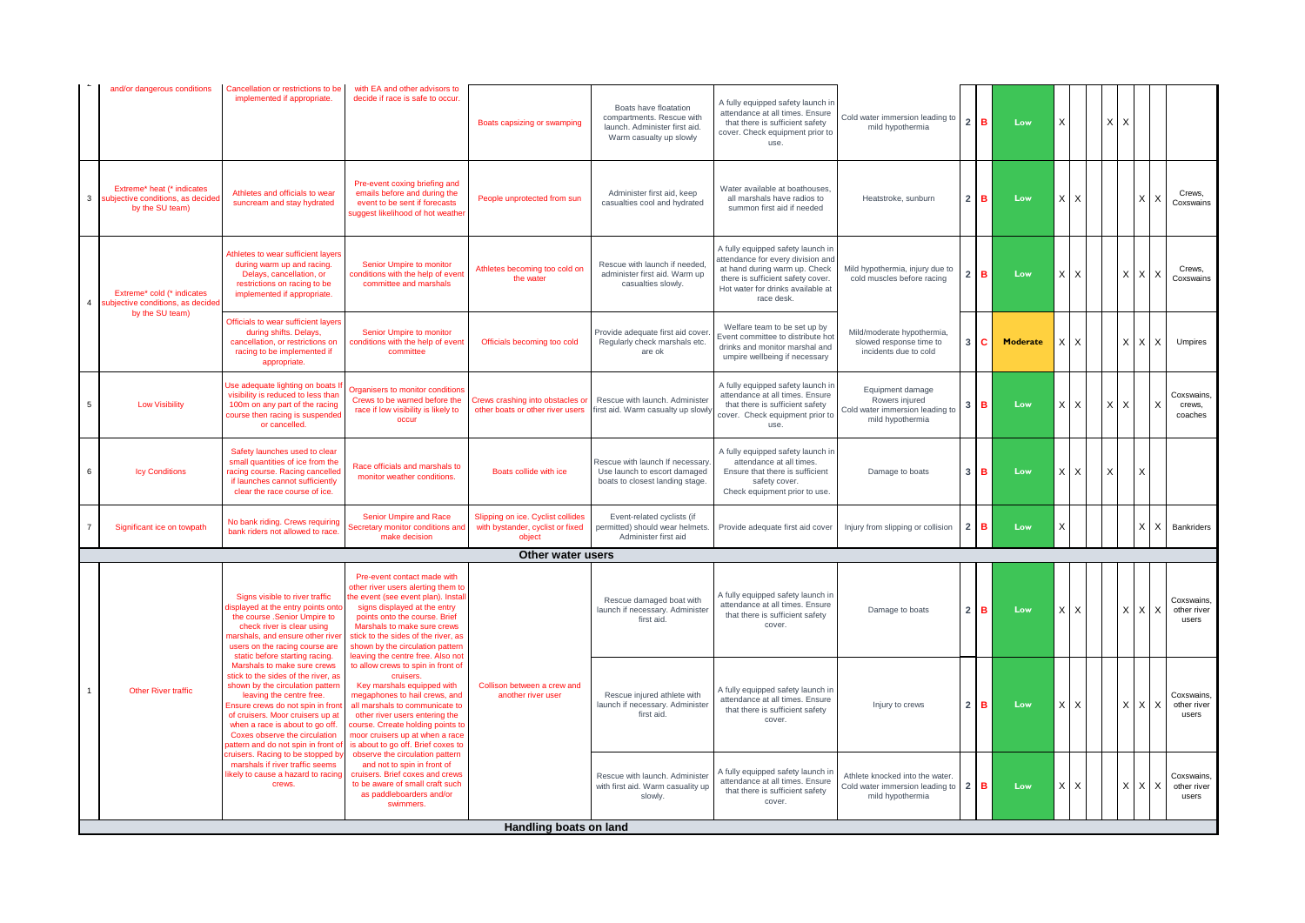|                | and/or dangerous conditions                                                       | Cancellation or restrictions to be<br>implemented if appropriate.                                                                                                                                                                                                                                                                                        | with EA and other advisors to<br>decide if race is safe to occur.                                                                                                                                                                                                                                                                     | Boats capsizing or swamping                                                     | Boats have floatation<br>compartments. Rescue with<br>launch. Administer first aid.<br>Warm casualty up slowly | A fully equipped safety launch in<br>attendance at all times. Ensure<br>that there is sufficient safety<br>cover. Check equipment prior to<br>use.                                              | Cold water immersion leading to<br>mild hypothermia                                       | 2 <sup>1</sup> | в. | Low             | X |                           |   | XX |             |                                    |
|----------------|-----------------------------------------------------------------------------------|----------------------------------------------------------------------------------------------------------------------------------------------------------------------------------------------------------------------------------------------------------------------------------------------------------------------------------------------------------|---------------------------------------------------------------------------------------------------------------------------------------------------------------------------------------------------------------------------------------------------------------------------------------------------------------------------------------|---------------------------------------------------------------------------------|----------------------------------------------------------------------------------------------------------------|-------------------------------------------------------------------------------------------------------------------------------------------------------------------------------------------------|-------------------------------------------------------------------------------------------|----------------|----|-----------------|---|---------------------------|---|----|-------------|------------------------------------|
| $\mathbf{3}$   | Extreme* heat (* indicates<br>subjective conditions, as decide<br>by the SU team) | Athletes and officials to wear<br>suncream and stay hydrated                                                                                                                                                                                                                                                                                             | Pre-event coxing briefing and<br>emails before and during the<br>event to be sent if forecasts<br>suggest likelihood of hot weather                                                                                                                                                                                                   | People unprotected from sun                                                     | Administer first aid, keep<br>casualties cool and hydrated                                                     | Water available at boathouses,<br>all marshals have radios to<br>summon first aid if needed                                                                                                     | Heatstroke, sunburn                                                                       | 2 <sup>1</sup> | в  | Low             |   | $X$ $X$                   |   |    | $X$   $X$   | Crews,<br>Coxswains                |
| $\overline{4}$ | Extreme* cold (* indicates<br>subjective conditions, as decide                    | Athletes to wear sufficient layers<br>during warm up and racing.<br>Delays, cancellation, or<br>restrictions on racing to be<br>implemented if appropriate.                                                                                                                                                                                              | Senior Umpire to monitor<br>conditions with the help of event<br>committee and marshals                                                                                                                                                                                                                                               | Athletes becoming too cold on<br>the water                                      | Rescue with launch if needed<br>administer first aid. Warm up<br>casualties slowly.                            | A fully equipped safety launch in<br>attendance for every division and<br>at hand during warm up. Check<br>there is sufficient safety cover.<br>Hot water for drinks available at<br>race desk. | Mild hypothermia, injury due to<br>cold muscles before racing                             | 2 <sub>1</sub> | в. | Low             |   | XX                        |   |    | X X X       | Crews.<br>Coxswains                |
|                | by the SU team)                                                                   | Officials to wear sufficient layers<br>during shifts. Delays,<br>cancellation, or restrictions on<br>racing to be implemented if<br>appropriate.                                                                                                                                                                                                         | Senior Umpire to monitor<br>conditions with the help of event<br>committee                                                                                                                                                                                                                                                            | Officials becoming too cold                                                     | Provide adequate first aid cover<br>Regularly check marshals etc.<br>are ok                                    | Welfare team to be set up by<br>Event committee to distribute hot<br>drinks and monitor marshal and<br>umpire wellbeing if necessary                                                            | Mild/moderate hypothermia,<br>slowed response time to<br>incidents due to cold            | 3 <sup>1</sup> | c. | <b>Moderate</b> | X | $\boldsymbol{\mathsf{X}}$ |   | X  | l X<br>I X  | Umpires                            |
| $\overline{5}$ | <b>Low Visibility</b>                                                             | Use adequate lighting on boats<br>visibility is reduced to less than<br>100m on any part of the racing<br>course then racing is suspended<br>or cancelled.                                                                                                                                                                                               | Organisers to monitor conditions<br>Crews to be warned before the<br>race if low visibility is likely to<br>occur                                                                                                                                                                                                                     | Crews crashing into obstacles or<br>other boats or other river users            | Rescue with launch, Administer<br>first aid. Warm casualty up slowly                                           | A fully equipped safety launch in<br>attendance at all times. Ensure<br>that there is sufficient safety<br>cover. Check equipment prior to<br>use.                                              | Equipment damage<br>Rowers injured<br>Cold water immersion leading to<br>mild hypothermia | 3 <sup>1</sup> | в  | Low             | X | X                         | X | X  |             | Coxswains,<br>crews,<br>coaches    |
| 6              | <b>Icy Conditions</b>                                                             | Safety launches used to clear<br>small quantities of ice from the<br>racing course. Racing cancelled<br>if launches cannot sufficiently<br>clear the race course of ice.                                                                                                                                                                                 | Race officials and marshals to<br>monitor weather conditions.                                                                                                                                                                                                                                                                         | Boats collide with ice                                                          | Rescue with launch If necessary<br>Use launch to escort damaged<br>boats to closest landing stage.             | A fully equipped safety launch in<br>attendance at all times.<br>Ensure that there is sufficient<br>safety cover.<br>Check equipment prior to use.                                              | Damage to boats                                                                           | 3 <sup>1</sup> | в  | Low             | X | $\times$                  | X |    | X           |                                    |
| $\overline{7}$ | Significant ice on towpath                                                        | No bank riding. Crews requiring<br>bank riders not allowed to race.                                                                                                                                                                                                                                                                                      | Senior Umpire and Race<br>Secretary monitor conditions and<br>make decision                                                                                                                                                                                                                                                           | Slipping on ice. Cyclist collides<br>with bystander, cyclist or fixed<br>object | Event-related cyclists (if<br>permitted) should wear helmets.<br>Administer first aid                          | Provide adequate first aid cover                                                                                                                                                                | Injury from slipping or collision                                                         | $2^{\circ}$    | в  | Low             | X |                           |   |    | l X         | Bankriders                         |
|                |                                                                                   |                                                                                                                                                                                                                                                                                                                                                          |                                                                                                                                                                                                                                                                                                                                       | Other water users                                                               |                                                                                                                |                                                                                                                                                                                                 |                                                                                           |                |    |                 |   |                           |   |    |             |                                    |
|                |                                                                                   | Signs visible to river traffic<br>lisplayed at the entry points onto<br>the course .Senior Umpire to<br>check river is clear using<br>narshals, and ensure other river<br>users on the racing course are                                                                                                                                                 | Pre-event contact made with<br>other river users alerting them to<br>he event (see event plan). Instal<br>signs displayed at the entry<br>points onto the course. Brief<br>Marshals to make sure crews<br>stick to the sides of the river, as<br>shown by the circulation pattern                                                     |                                                                                 | Rescue damaged boat with<br>launch if necessary. Administer<br>first aid.                                      | A fully equipped safety launch in<br>attendance at all times. Ensure<br>that there is sufficient safety<br>cover.                                                                               | Damage to boats                                                                           | 2 <sub>1</sub> | в  | Low             | X | X                         |   | X. | $X$ X       | Coxswains.<br>other river<br>users |
|                | <b>Other River traffic</b>                                                        | static before starting racing.<br>Marshals to make sure crews<br>stick to the sides of the river, as<br>shown by the circulation pattern<br>leaving the centre free.<br>Ensure crews do not spin in front<br>of cruisers. Moor cruisers up at<br>when a race is about to go off.<br>Coxes observe the circulation<br>battern and do not spin in front of | leaving the centre free. Also not<br>to allow crews to spin in front of<br>cruisers.<br>Key marshals equipped with<br>megaphones to hail crews, and<br>all marshals to communicate to<br>other river users entering the<br>course. Crreate holding points to<br>moor cruisers up at when a race<br>is about to go off. Brief coxes to | Collison between a crew and<br>another river user                               | Rescue injured athlete with<br>launch if necessary. Administer<br>first aid.                                   | A fully equipped safety launch in<br>attendance at all times. Ensure<br>that there is sufficient safety<br>cover.                                                                               | Injury to crews                                                                           | 2 <sub>1</sub> | в  | Low             |   | $X$ $X$                   |   |    | $X$ $X$ $X$ | Coxswains.<br>other river<br>users |
|                |                                                                                   | truisers. Racing to be stopped by<br>marshals if river traffic seems<br>ikely to cause a hazard to racing<br>crews.                                                                                                                                                                                                                                      | observe the circulation pattern<br>and not to spin in front of<br>cruisers. Brief coxes and crews<br>to be aware of small craft such<br>as paddleboarders and/or<br>swimmers.                                                                                                                                                         |                                                                                 | Rescue with launch. Administer<br>with first aid. Warm casuality up<br>slowly.                                 | A fully equipped safety launch in<br>attendance at all times. Ensure<br>that there is sufficient safety<br>cover.                                                                               | Athlete knocked into the water.<br>Cold water immersion leading to<br>mild hypothermia    | $2^{\circ}$    | в  | Low             | X | $\times$                  |   |    | $X$ $X$ $X$ | Coxswains,<br>other river<br>users |
|                | Handling boats on land                                                            |                                                                                                                                                                                                                                                                                                                                                          |                                                                                                                                                                                                                                                                                                                                       |                                                                                 |                                                                                                                |                                                                                                                                                                                                 |                                                                                           |                |    |                 |   |                           |   |    |             |                                    |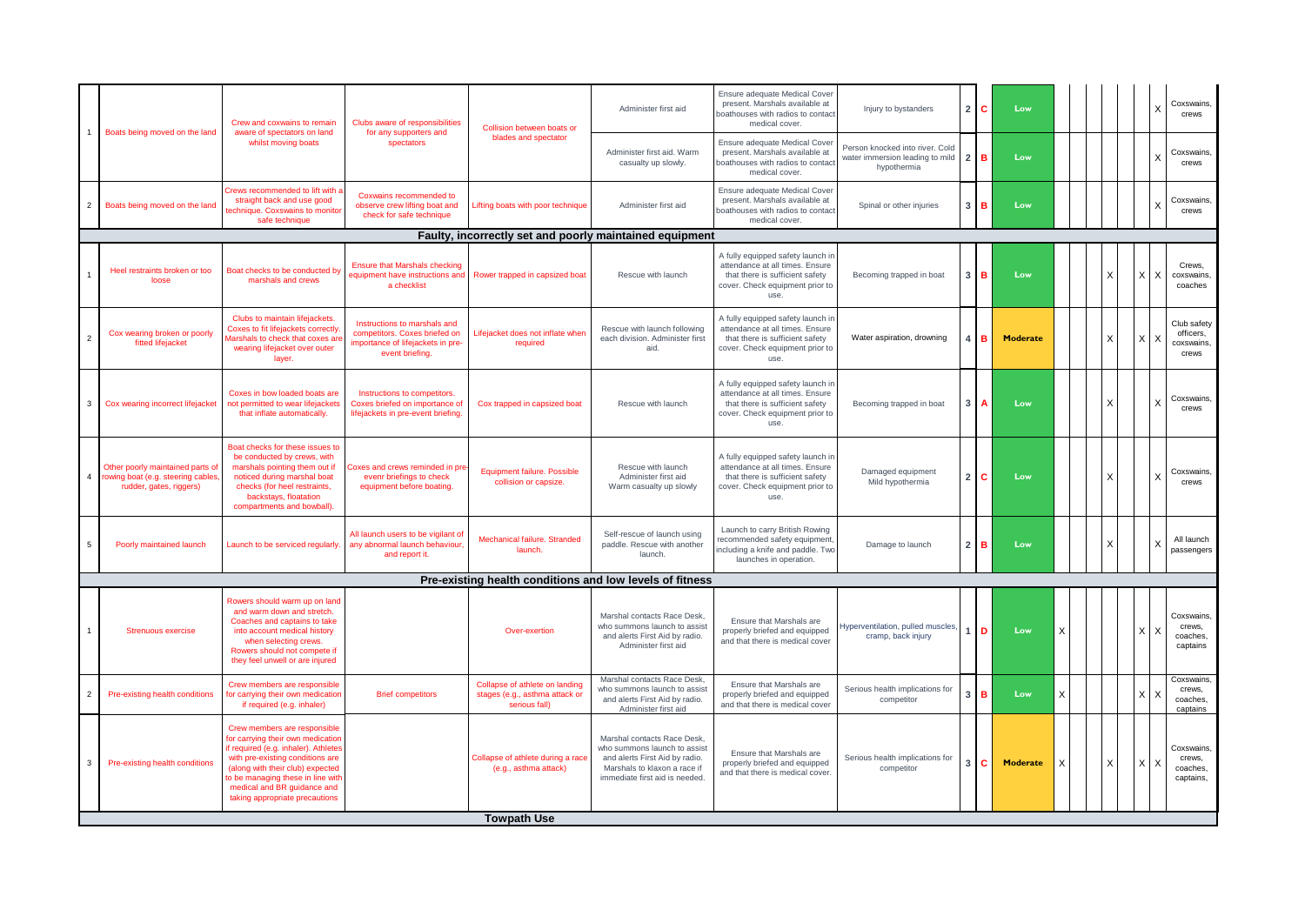|                | Boats being moved on the land                                                                    | Crew and coxwains to remain<br>aware of spectators on land                                                                                                                                                                                                                              | Clubs aware of responsibilities<br>for any supporters and                                                             | Collision between boats or                                                        | Administer first aid                                                                                                                                           | Ensure adequate Medical Cover<br>present. Marshals available at<br>boathouses with radios to contact<br>medical cover.                             | Injury to bystanders                                                              | $2^{\circ}$      | C.              | Low      |   |          |                 | Coxswains,<br>crews                             |
|----------------|--------------------------------------------------------------------------------------------------|-----------------------------------------------------------------------------------------------------------------------------------------------------------------------------------------------------------------------------------------------------------------------------------------|-----------------------------------------------------------------------------------------------------------------------|-----------------------------------------------------------------------------------|----------------------------------------------------------------------------------------------------------------------------------------------------------------|----------------------------------------------------------------------------------------------------------------------------------------------------|-----------------------------------------------------------------------------------|------------------|-----------------|----------|---|----------|-----------------|-------------------------------------------------|
|                |                                                                                                  | whilst moving boats                                                                                                                                                                                                                                                                     | spectators                                                                                                            | blades and spectator                                                              | Administer first aid. Warm<br>casualty up slowly.                                                                                                              | Ensure adequate Medical Cover<br>present. Marshals available at<br>boathouses with radios to contact<br>medical cover.                             | Person knocked into river. Cold<br>water immersion leading to mild<br>hypothermia | $\overline{2}$ l | в               | Low      |   |          |                 | Coxswains,<br>crews                             |
| $\overline{2}$ | Boats being moved on the land                                                                    | frews recommended to lift with a<br>straight back and use good<br>echnique. Coxswains to monito<br>safe technique                                                                                                                                                                       | Coxwains recommended to<br>observe crew lifting boat and<br>check for safe technique                                  | Lifting boats with poor technique                                                 | Administer first aid                                                                                                                                           | Ensure adequate Medical Cover<br>present. Marshals available at<br>oathouses with radios to contact<br>medical cover.                              | Spinal or other injuries                                                          | 3 <sup>1</sup>   | в               | Low      |   |          |                 | Coxswains,<br>crews                             |
|                |                                                                                                  |                                                                                                                                                                                                                                                                                         |                                                                                                                       | Faulty, incorrectly set and poorly maintained equipment                           |                                                                                                                                                                |                                                                                                                                                    |                                                                                   |                  |                 |          |   |          |                 |                                                 |
|                | Heel restraints broken or too<br>loose                                                           | Boat checks to be conducted by<br>marshals and crews                                                                                                                                                                                                                                    | <b>Ensure that Marshals checking</b><br>equipment have instructions and<br>a checklist                                | Rower trapped in capsized boat                                                    | Rescue with launch                                                                                                                                             | A fully equipped safety launch ir<br>attendance at all times. Ensure<br>that there is sufficient safety<br>cover. Check equipment prior to<br>use. | Becoming trapped in boat                                                          | 3 <sup>1</sup>   | в               | Low      |   | X        | $\times$<br>l X | Crews,<br>coxswains<br>coaches                  |
| $\overline{2}$ | Cox wearing broken or poorly<br>fitted lifejacket                                                | Clubs to maintain lifejackets.<br>Coxes to fit lifejackets correctly<br>larshals to check that coxes ar<br>wearing lifejacket over outer<br>layer.                                                                                                                                      | Instructions to marshals and<br>competitors. Coxes briefed on<br>importance of lifejackets in pre-<br>event briefing. | Lifejacket does not inflate when<br>required                                      | Rescue with launch following<br>each division. Administer first<br>aid                                                                                         | A fully equipped safety launch in<br>attendance at all times. Ensure<br>that there is sufficient safety<br>cover. Check equipment prior to<br>use. | Water aspiration, drowning                                                        |                  | в               | Moderate |   | X        | X <sub>1</sub>  | Club safety<br>officers,<br>coxswains,<br>crews |
| 3              | Cox wearing incorrect lifejacket                                                                 | Coxes in bow loaded boats are<br>not permitted to wear lifejackets<br>that inflate automatically.                                                                                                                                                                                       | Instructions to competitors.<br>Coxes briefed on importance of<br>lifejackets in pre-event briefing.                  | Cox trapped in capsized boat                                                      | Rescue with launch                                                                                                                                             | A fully equipped safety launch in<br>attendance at all times. Ensure<br>that there is sufficient safety<br>cover. Check equipment prior to<br>use. | Becoming trapped in boat                                                          |                  |                 | Low      |   | $\times$ |                 | Coxswains<br>crews                              |
| $\overline{4}$ | Other poorly maintained parts of<br>rowing boat (e.g. steering cables<br>rudder, gates, riggers) | Boat checks for these issues to<br>be conducted by crews, with<br>marshals pointing them out if<br>noticed during marshal boat<br>checks (for heel restraints,<br>backstays, floatation<br>compartments and bowball).                                                                   | Coxes and crews reminded in pre<br>evenr briefings to check<br>equipment before boating.                              | Equipment failure, Possible<br>collision or capsize.                              | Rescue with launch<br>Administer first aid<br>Warm casualty up slowly                                                                                          | A fully equipped safety launch ir<br>attendance at all times. Ensure<br>that there is sufficient safety<br>cover. Check equipment prior to<br>use. | Damaged equipment<br>Mild hypothermia                                             | $\overline{2}$   | C.              | Low      |   | X        |                 | Coxswains,<br>crews                             |
| 5              | Poorly maintained launch                                                                         | Launch to be serviced regularly                                                                                                                                                                                                                                                         | All launch users to be vigilant of<br>any abnormal launch behaviour,<br>and report it.                                | Mechanical failure. Stranded<br>launch.                                           | Self-rescue of launch using<br>paddle. Rescue with another<br>launch.                                                                                          | Launch to carry British Rowing<br>recommended safety equipment,<br>ncluding a knife and paddle. Two<br>launches in operation.                      | Damage to launch                                                                  | $\overline{2}$   | в               | Low      |   |          |                 | All launch<br>passengers                        |
|                |                                                                                                  |                                                                                                                                                                                                                                                                                         |                                                                                                                       | Pre-existing health conditions and low levels of fitness                          |                                                                                                                                                                |                                                                                                                                                    |                                                                                   |                  |                 |          |   |          |                 |                                                 |
|                | <b>Strenuous exercise</b>                                                                        | Rowers should warm up on land<br>and warm down and stretch.<br>Coaches and captains to take<br>into account medical history<br>when selecting crews.<br>Rowers should not compete if<br>they feel unwell or are injured                                                                 |                                                                                                                       | Over-exertion                                                                     | Marshal contacts Race Desk<br>who summons launch to assist<br>and alerts First Aid by radio.<br>Administer first aid                                           | Ensure that Marshals are<br>properly briefed and equipped<br>and that there is medical cover                                                       | Hyperventilation, pulled muscles,<br>cramp, back injury                           |                  | D               | Low      | X |          | X X             | Coxswains,<br>crews,<br>coaches,<br>captains    |
| $\overline{2}$ | Pre-existing health conditions                                                                   | Crew members are responsible<br>for carrying their own medication<br>if required (e.g. inhaler)                                                                                                                                                                                         | <b>Brief competitors</b>                                                                                              | Collapse of athlete on landing<br>stages (e.g., asthma attack or<br>serious fall) | Marshal contacts Race Desk.<br>who summons launch to assist<br>and alerts First Aid by radio.<br>Administer first aid                                          | Ensure that Marshals are<br>properly briefed and equipped<br>and that there is medical cover                                                       | Serious health implications for<br>competitor                                     |                  | $\, {\bf B} \,$ | Low      | X |          |                 | Coxswains.<br>crews,<br>coaches,<br>captains    |
| 3              | Pre-existing health conditions                                                                   | Crew members are responsible<br>for carrying their own medication<br>if required (e.g. inhaler). Athletes<br>with pre-existing conditions are<br>(along with their club) expected<br>to be managing these in line with<br>medical and BR guidance and<br>taking appropriate precautions |                                                                                                                       | Collapse of athlete during a race<br>(e.g., asthma attack)<br><b>Towpath Use</b>  | Marshal contacts Race Desk<br>who summons launch to assist<br>and alerts First Aid by radio.<br>Marshals to klaxon a race if<br>immediate first aid is needed. | Ensure that Marshals are<br>properly briefed and equipped<br>and that there is medical cover.                                                      | Serious health implications for<br>competitor                                     |                  | c.              | Moderate | X | X        | XX              | Coxswains,<br>crews,<br>coaches,<br>captains,   |
|                |                                                                                                  |                                                                                                                                                                                                                                                                                         |                                                                                                                       |                                                                                   |                                                                                                                                                                |                                                                                                                                                    |                                                                                   |                  |                 |          |   |          |                 |                                                 |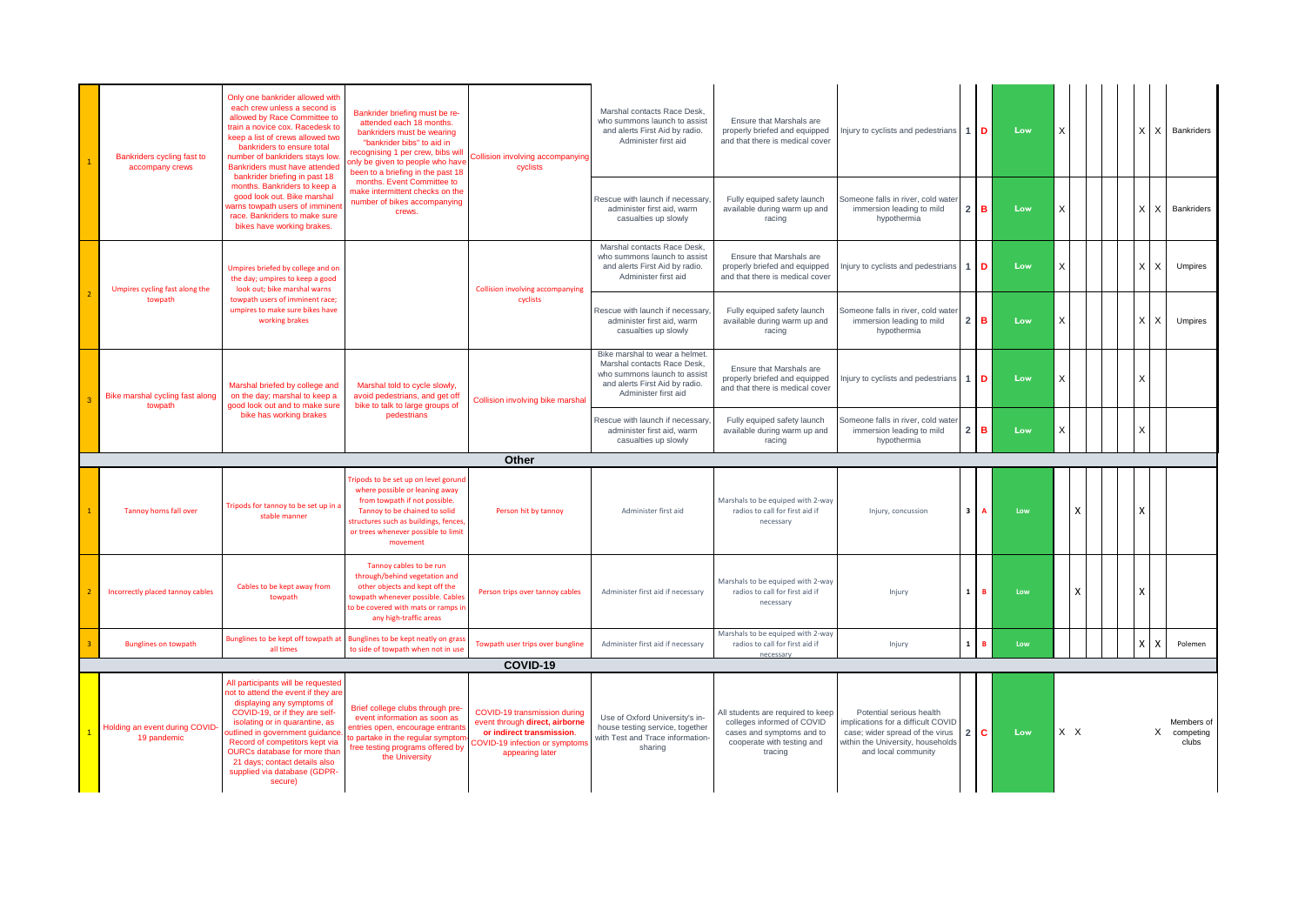| Bankriders cycling fast to<br>accompany crews | Only one bankrider allowed with<br>each crew unless a second is<br>allowed by Race Committee to<br>train a novice cox. Racedesk to<br>keep a list of crews allowed two<br>bankriders to ensure total<br>number of bankriders stays low.<br>Bankriders must have attended<br>bankrider briefing in past 18                                                    | Bankrider briefing must be re-<br>attended each 18 months.<br>bankriders must be wearing<br>"bankrider bibs" to aid in<br>recognising 1 per crew, bibs will<br>only be given to people who have<br>been to a briefing in the past 18 | Collision involving accompanying<br>cyclists                                                                                                    | Marshal contacts Race Desk<br>who summons launch to assist<br>and alerts First Aid by radio.<br>Administer first aid                                    | Ensure that Marshals are<br>properly briefed and equipped<br>and that there is medical cover                                          | Injury to cyclists and pedestrians $1\overline{D}$                                                                                                           |                 |              | Low | X   |   |  | $X$   $X$       | Bankriders                         |
|-----------------------------------------------|--------------------------------------------------------------------------------------------------------------------------------------------------------------------------------------------------------------------------------------------------------------------------------------------------------------------------------------------------------------|--------------------------------------------------------------------------------------------------------------------------------------------------------------------------------------------------------------------------------------|-------------------------------------------------------------------------------------------------------------------------------------------------|---------------------------------------------------------------------------------------------------------------------------------------------------------|---------------------------------------------------------------------------------------------------------------------------------------|--------------------------------------------------------------------------------------------------------------------------------------------------------------|-----------------|--------------|-----|-----|---|--|-----------------|------------------------------------|
|                                               | months. Bankriders to keep a<br>good look out. Bike marshal<br>varns towpath users of imminen<br>race. Bankriders to make sure<br>bikes have working brakes.                                                                                                                                                                                                 | months. Event Committee to<br>make intermittent checks on the<br>number of bikes accompanying<br>crews.                                                                                                                              |                                                                                                                                                 | Rescue with launch if necessary<br>administer first aid, warm<br>casualties up slowly                                                                   | Fully equiped safety launch<br>available during warm up and<br>racing                                                                 | Someone falls in river, cold wate<br>immersion leading to mild<br>hypothermia                                                                                | $2 \mid B$      |              | Low | X   |   |  | $\times$<br>l X | Bankriders                         |
| Umpires cycling fast along the                | Umpires briefed by college and on<br>the day; umpires to keep a good<br>look out: bike marshal warns                                                                                                                                                                                                                                                         |                                                                                                                                                                                                                                      | <b>Collision involving accompanying</b>                                                                                                         | Marshal contacts Race Desk.<br>who summons launch to assist<br>and alerts First Aid by radio.<br>Administer first aid                                   | Ensure that Marshals are<br>properly briefed and equipped<br>and that there is medical cover                                          | Injury to cyclists and pedestrians 1 D                                                                                                                       |                 |              | Low | X.  |   |  | X<br>x          | Umpires                            |
| towpath                                       | towpath users of imminent race;<br>umpires to make sure bikes have<br>working brakes                                                                                                                                                                                                                                                                         |                                                                                                                                                                                                                                      | cyclists                                                                                                                                        | Rescue with launch if necessary<br>administer first aid, warm<br>casualties up slowly                                                                   | Fully equiped safety launch<br>available during warm up and<br>racing                                                                 | Someone falls in river, cold wate<br>immersion leading to mild<br>hypothermia                                                                                | $2$ B           |              | Low | X   |   |  | $\times$<br>X   | <b>Umpires</b>                     |
| Bike marshal cycling fast along<br>towpath    | Marshal briefed by college and<br>on the day; marshal to keep a<br>good look out and to make sure                                                                                                                                                                                                                                                            | Marshal told to cycle slowly,<br>avoid pedestrians, and get off<br>bike to talk to large groups of                                                                                                                                   | Collision involving bike marshal                                                                                                                | Bike marshal to wear a helmet.<br>Marshal contacts Race Desk,<br>who summons launch to assist<br>and alerts First Aid by radio.<br>Administer first aid | Ensure that Marshals are<br>properly briefed and equipped<br>and that there is medical cover                                          | Injury to cyclists and pedestrians 1 D                                                                                                                       |                 |              | Low | X   |   |  | $\times$        |                                    |
|                                               | bike has working brakes                                                                                                                                                                                                                                                                                                                                      | pedestrians                                                                                                                                                                                                                          |                                                                                                                                                 | Rescue with launch if necessary<br>administer first aid, warm<br>casualties up slowly                                                                   | Fully equiped safety launch<br>available during warm up and<br>racing                                                                 | Someone falls in river, cold wate<br>immersion leading to mild<br>hypothermia                                                                                | $2^{\circ}$     |              | Low | X   |   |  | X               |                                    |
|                                               |                                                                                                                                                                                                                                                                                                                                                              |                                                                                                                                                                                                                                      | Other                                                                                                                                           |                                                                                                                                                         |                                                                                                                                       |                                                                                                                                                              |                 |              |     |     |   |  |                 |                                    |
| <b>Tannoy horns fall over</b>                 | Tripods for tannoy to be set up in a<br>stable manner                                                                                                                                                                                                                                                                                                        | ripods to be set up on level gorund<br>where possible or leaning away<br>from towpath if not possible.<br>Tannoy to be chained to solid<br>structures such as buildings, fences,<br>or trees whenever possible to limit<br>movement  | Person hit by tannoy                                                                                                                            | Administer first aid                                                                                                                                    | Marshals to be equiped with 2-way<br>radios to call for first aid if<br>necessary                                                     | Injury, concussion                                                                                                                                           | 3 <sup>1</sup>  | $\mathbf{A}$ | Low |     | χ |  | X               |                                    |
| Incorrectly placed tannoy cables              | Cables to be kept away from<br>towpath                                                                                                                                                                                                                                                                                                                       | Tannoy cables to be run<br>through/behind vegetation and<br>other objects and kept off the<br>towpath whenever possible. Cables<br>to be covered with mats or ramps in<br>any high-traffic areas                                     | Person trips over tannoy cables                                                                                                                 | Administer first aid if necessary                                                                                                                       | Marshals to be equiped with 2-way<br>radios to call for first aid if<br>necessary                                                     | Injury                                                                                                                                                       | $\mathbf{1}$    |              | Low |     | χ |  | x               |                                    |
| <b>Bunglines on towpath</b>                   | Bunglines to be kept off towpath at<br>all times                                                                                                                                                                                                                                                                                                             | Bunglines to be kept neatly on gras:<br>to side of towpath when not in use                                                                                                                                                           | Towpath user trips over bungline                                                                                                                | Administer first aid if necessary                                                                                                                       | Marshals to be equiped with 2-way<br>radios to call for first aid if<br>necessar                                                      | Injury                                                                                                                                                       | $1 \vert B$     |              | Low |     |   |  | $\times$<br>X   | Polemen                            |
|                                               |                                                                                                                                                                                                                                                                                                                                                              |                                                                                                                                                                                                                                      | COVID-19                                                                                                                                        |                                                                                                                                                         |                                                                                                                                       |                                                                                                                                                              |                 |              |     |     |   |  |                 |                                    |
| Holding an event during COVID-<br>19 pandemic | All participants will be requested<br>not to attend the event if they are<br>displaying any symptoms of<br>COVID-19, or if they are self-<br>isolating or in quarantine, as<br>outlined in government guidance<br>Record of competitors kept via<br>OURCs database for more than<br>21 days; contact details also<br>supplied via database (GDPR-<br>secure) | Brief college clubs through pre-<br>event information as soon as<br>entries open, encourage entrants<br>to partake in the regular symptom<br>free testing programs offered by<br>the University                                      | COVID-19 transmission during<br>event through direct, airborne<br>or indirect transmission.<br>COVID-19 infection or symptom<br>appearing later | Use of Oxford University's in-<br>house testing service, together<br>with Test and Trace information-<br>sharing                                        | All students are required to keep<br>colleges informed of COVID<br>cases and symptoms and to<br>cooperate with testing and<br>tracing | Potential serious health<br>mplications for a difficult COVID<br>case; wider spread of the virus<br>within the University, households<br>and local community | $2 \, \text{C}$ |              | Low | X X |   |  |                 | Members of<br>X competing<br>clubs |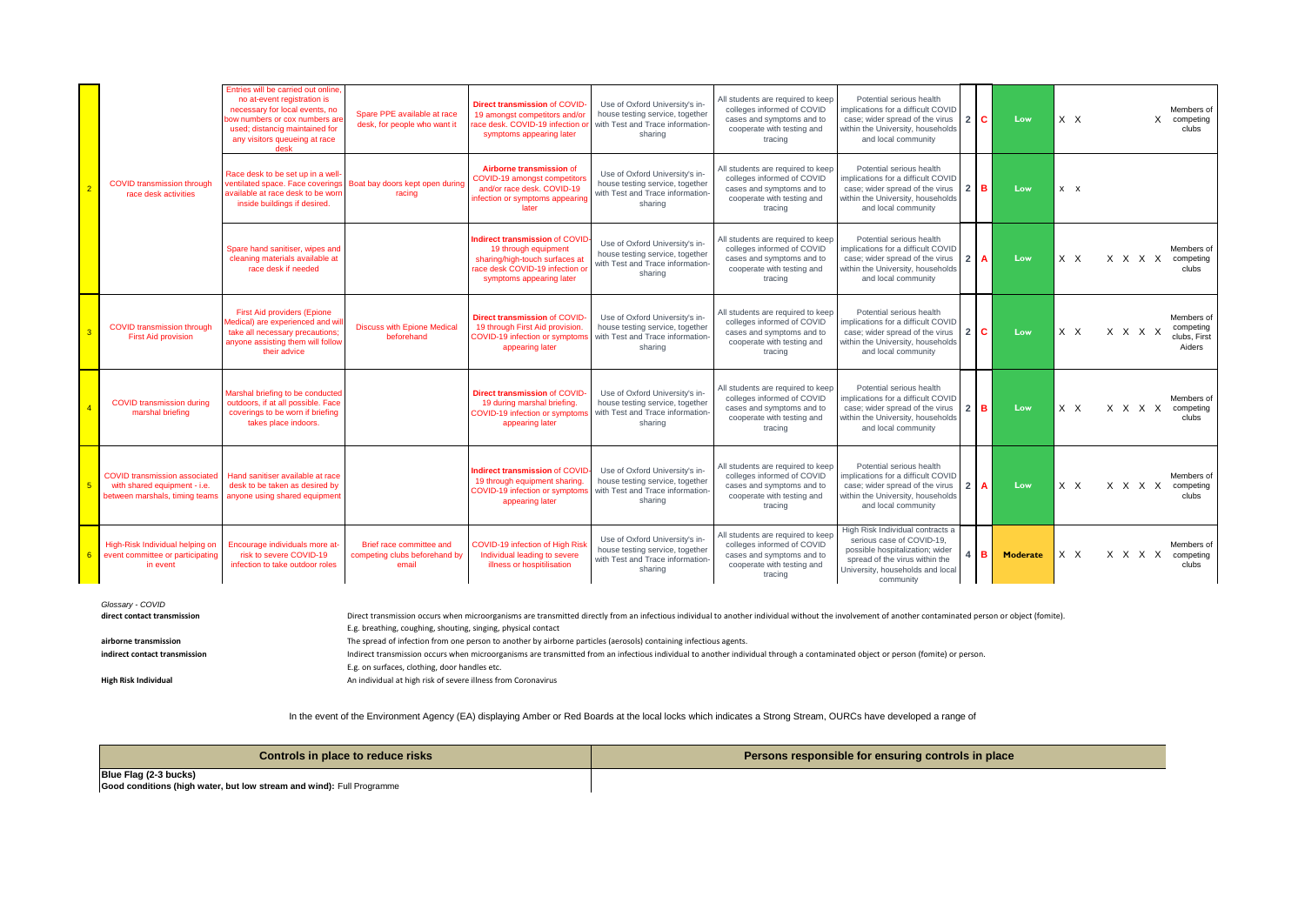|                |                                                                                                        | Entries will be carried out online,<br>no at-event registration is<br>necessary for local events, no<br>bow numbers or cox numbers are<br>used; distancig maintained for<br>any visitors queueing at race<br>desk | Spare PPE available at race<br>desk, for people who want it        | <b>Direct transmission of COVID</b><br>19 amongst competitors and/or<br>race desk. COVID-19 infection o<br>symptoms appearing later                    | Use of Oxford University's in-<br>house testing service, together<br>with Test and Trace information<br>sharing  | All students are required to keep<br>colleges informed of COVID<br>cases and symptoms and to<br>cooperate with testing and<br>tracing | Potential serious health<br>mplications for a difficult COVID<br>case; wider spread of the virus<br>within the University, households<br>and local community                        | 2 C        | Low             | $X$ $X$    | Members of<br>X competing<br>clubs                           |
|----------------|--------------------------------------------------------------------------------------------------------|-------------------------------------------------------------------------------------------------------------------------------------------------------------------------------------------------------------------|--------------------------------------------------------------------|--------------------------------------------------------------------------------------------------------------------------------------------------------|------------------------------------------------------------------------------------------------------------------|---------------------------------------------------------------------------------------------------------------------------------------|-------------------------------------------------------------------------------------------------------------------------------------------------------------------------------------|------------|-----------------|------------|--------------------------------------------------------------|
|                | <b>COVID transmission through</b><br>race desk activities                                              | Race desk to be set up in a well-<br>ventilated space. Face coverings<br>available at race desk to be worr<br>inside buildings if desired.                                                                        | Boat bay doors kept open during<br>racing                          | Airborne transmission of<br><b>COVID-19 amongst competitor</b><br>and/or race desk, COVID-19<br>infection or symptoms appearing<br>later               | Use of Oxford University's in-<br>house testing service, together<br>with Test and Trace information-<br>sharing | All students are required to keep<br>colleges informed of COVID<br>cases and symptoms and to<br>cooperate with testing and<br>tracing | Potential serious health<br>mplications for a difficult COVID<br>case; wider spread of the virus<br>within the University, households<br>and local community                        | $2$ B      | Low             | $x \times$ |                                                              |
|                |                                                                                                        | Spare hand sanitiser, wipes and<br>cleaning materials available at<br>race desk if needed                                                                                                                         |                                                                    | Indirect transmission of COVID<br>19 through equipment<br>sharing/high-touch surfaces at<br>race desk COVID-19 infection o<br>symptoms appearing later | Use of Oxford University's in-<br>house testing service, together<br>with Test and Trace information-<br>sharing | All students are required to keep<br>colleges informed of COVID<br>cases and symptoms and to<br>cooperate with testing and<br>tracing | Potential serious health<br>implications for a difficult COVID<br>case; wider spread of the virus<br>within the University, households<br>and local community                       | $2 \mid A$ | Low             | $X$ $X$    | Members of<br>X X X X<br>competing<br>clubs                  |
|                | <b>COVID transmission through</b><br><b>First Aid provision</b>                                        | <b>First Aid providers (Epione</b><br>Medical) are experienced and wi<br>take all necessary precautions;<br>anyone assisting them will follow<br>their advice                                                     | <b>Discuss with Epione Medical</b><br>beforehand                   | Direct transmission of COVID<br>19 through First Aid provision<br>COVID-19 infection or symptom<br>appearing later                                     | Use of Oxford University's in-<br>house testing service, together<br>with Test and Trace information-<br>sharing | All students are required to keep<br>colleges informed of COVID<br>cases and symptoms and to<br>cooperate with testing and<br>tracing | Potential serious health<br>mplications for a difficult COVID<br>case: wider spread of the virus<br>within the University, households<br>and local community                        | 2 C        | Low             | $X$ $X$    | Members of<br>competing<br>x x x x<br>clubs, First<br>Aiders |
|                | <b>COVID transmission during</b><br>marshal briefing                                                   | Marshal briefing to be conducted<br>outdoors, if at all possible. Face<br>coverings to be worn if briefing<br>takes place indoors.                                                                                |                                                                    | Direct transmission of COVID<br>19 during marshal briefing.<br>COVID-19 infection or sympton<br>appearing later                                        | Use of Oxford University's in-<br>house testing service, together<br>with Test and Trace information-<br>sharing | All students are required to keep<br>colleges informed of COVID<br>cases and symptoms and to<br>cooperate with testing and<br>tracing | Potential serious health<br>mplications for a difficult COVID<br>case: wider spread of the virus<br>within the University, households<br>and local community                        | $2$ B      | Low             | $X$ $X$    | Members of<br>X X X X<br>competing<br>clubs                  |
| 5              | <b>COVID transmission associated</b><br>with shared equipment - i.e.<br>between marshals, timing teams | Hand sanitiser available at race<br>desk to be taken as desired by<br>anyone using shared equipment                                                                                                               |                                                                    | Indirect transmission of COVID<br>19 through equipment sharing.<br>COVID-19 infection or symptom<br>appearing later                                    | Use of Oxford University's in-<br>house testing service, together<br>with Test and Trace information-<br>sharing | All students are required to keep<br>colleges informed of COVID<br>cases and symptoms and to<br>cooperate with testing and<br>tracing | Potential serious health<br>implications for a difficult COVID<br>case: wider spread of the virus<br>within the University, households<br>and local community                       | $22$ A     | Low             | $X$ $X$    | Members of<br>X X X X<br>competing<br>clubs                  |
| 6 <sup>1</sup> | High-Risk Individual helping on<br>event committee or participating<br>in event                        | Encourage individuals more at<br>risk to severe COVID-19<br>infection to take outdoor roles                                                                                                                       | Brief race committee and<br>competing clubs beforehand by<br>email | <b>COVID-19 infection of High Ris</b><br>Individual leading to severe<br>illness or hospitilisation                                                    | Use of Oxford University's in-<br>house testing service, together<br>with Test and Trace information-<br>sharing | All students are required to keep<br>colleges informed of COVID<br>cases and symptoms and to<br>cooperate with testing and<br>tracing | High Risk Individual contracts a<br>serious case of COVID-19.<br>possible hospitalization; wider<br>spread of the virus within the<br>University, households and local<br>community | $4$ B      | <b>Moderate</b> | X X        | Members of<br>x x x x<br>competing<br>clubs                  |

| Glossary - COVID              |                                                                                                                                                                                                        |
|-------------------------------|--------------------------------------------------------------------------------------------------------------------------------------------------------------------------------------------------------|
| direct contact transmission   | Direct transmission occurs when microorganisms are transmitted directly from an infectious individual to another individual without the involvement of another contaminated person or object (fomite). |
|                               | E.g. breathing, coughing, shouting, singing, physical contact                                                                                                                                          |
| airborne transmission         | The spread of infection from one person to another by airborne particles (aerosols) containing infectious agents.                                                                                      |
| indirect contact transmission | Indirect transmission occurs when microorganisms are transmitted from an infectious individual to another individual through a contaminated object or person (fomite) or person.                       |
|                               | E.g. on surfaces, clothing, door handles etc.                                                                                                                                                          |
| High Risk Individual          | An individual at high risk of severe illness from Coronavirus                                                                                                                                          |

In the event of the Environment Agency (EA) displaying Amber or Red Boards at the local locks which indicates a Strong Stream, OURCs have developed a range of

| Controls in place to reduce risks                                                              | Persons responsible for ensuring controls in place |
|------------------------------------------------------------------------------------------------|----------------------------------------------------|
| Blue Flag (2-3 bucks)<br>Good conditions (high water, but low stream and wind): Full Programme |                                                    |